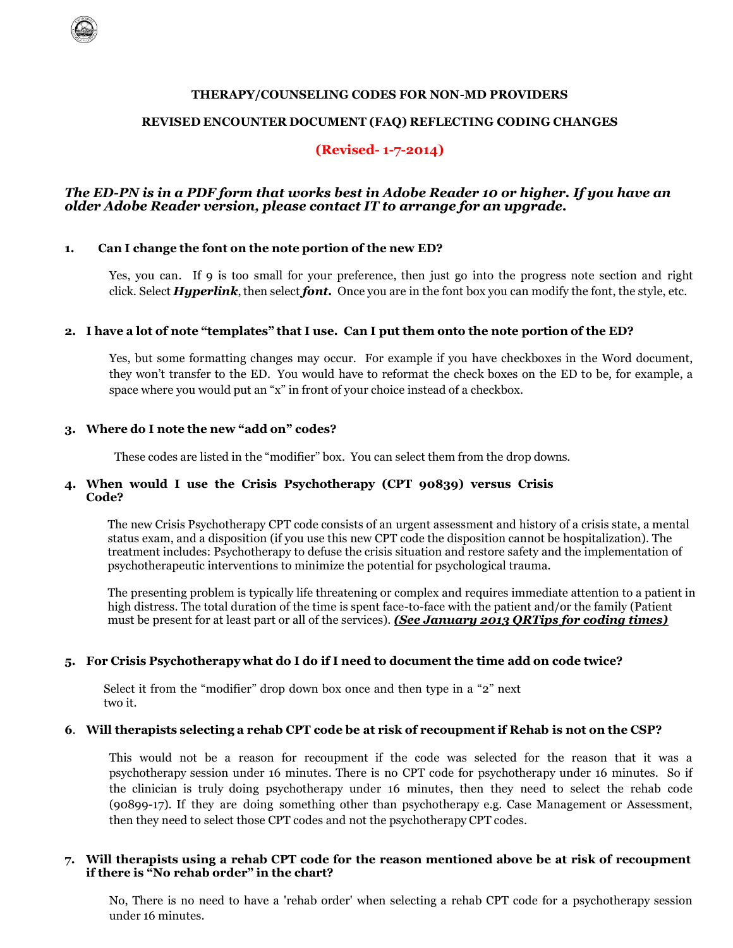#### **THERAPY/COUNSELING CODES FOR NON-MD PROVIDERS**

#### **REVISED ENCOUNTER DOCUMENT (FAQ) REFLECTING CODING CHANGES**

## **(Revised- 1-7-2014)**

#### *The ED-PN is in a PDF form that works best in Adobe Reader 10 or higher. If you have an older Adobe Reader version, please contact IT to arrange for an upgrade.*

#### **1. Can I change the font on the note portion of the new ED?**

Yes, you can. If 9 is too small for your preference, then just go into the progress note section and right click. Select *Hyperlink*, then select *font.* Once you are in the font box you can modify the font, the style, etc.

#### 2. I have a lot of note "templates" that I use. Can I put them onto the note portion of the ED?

Yes, but some formatting changes may occur. For example if you have checkboxes in the Word document, they won't transfer to the ED. You would have to reformat the check boxes on the ED to be, for example, a space where you would put an "x" in front of your choice instead of a checkbox.

#### **3. Where do I note the new "add on" codes?**

These codes are listed in the "modifier" box. You can select them from the drop downs.

#### **4. When would I use the Crisis Psychotherapy (CPT 90839) versus Crisis Code?**

The new Crisis Psychotherapy CPT code consists of an urgent assessment and history of a crisis state, a mental status exam, and a disposition (if you use this new CPT code the disposition cannot be hospitalization). The treatment includes: Psychotherapy to defuse the crisis situation and restore safety and the implementation of psychotherapeutic interventions to minimize the potential for psychological trauma.

The presenting problem is typically life threatening or complex and requires immediate attention to a patient in high distress. The total duration of the time is spent face-to-face with the patient and/or the family (Patient must be present for at least part or all of the services). *(See January 2013 QRTips for coding times)*

#### **5. For Crisis Psychotherapy what do I do if I need to document the time add on code twice?**

Select it from the "modifier" drop down box once and then type in a "2" next two it.

#### **6**. **Will therapists selecting a rehab CPT code be at risk of recoupmentif Rehab is not on the CSP?**

This would not be a reason for recoupment if the code was selected for the reason that it was a psychotherapy session under 16 minutes. There is no CPT code for psychotherapy under 16 minutes. So if the clinician is truly doing psychotherapy under 16 minutes, then they need to select the rehab code (90899-17). If they are doing something other than psychotherapy e.g. Case Management or Assessment, then they need to select those CPT codes and not the psychotherapy CPT codes.

### **7. Will therapists using a rehab CPT code for the reason mentioned above be at risk of recoupment if there is "No rehab order" in the chart?**

No, There is no need to have a 'rehab order' when selecting a rehab CPT code for a psychotherapy session under 16 minutes.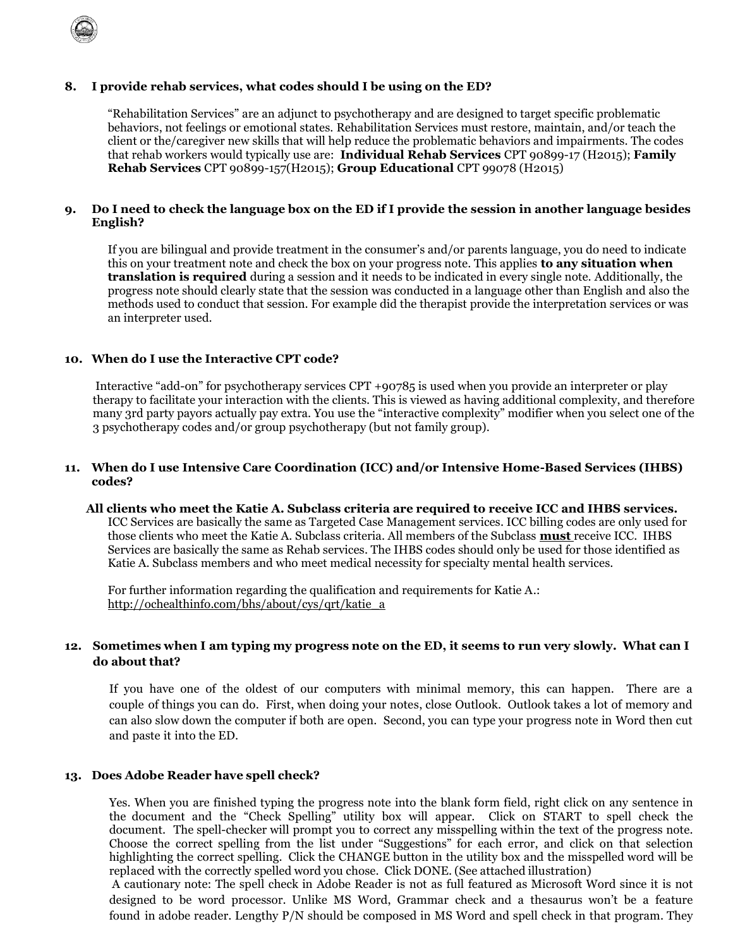

### **8. I provide rehab services, what codes should I be using on the ED?**

"Rehabilitation Services" are an adjunct to psychotherapy and are designed to target specific problematic behaviors, not feelings or emotional states. Rehabilitation Services must restore, maintain, and/or teach the client or the/caregiver new skills that will help reduce the problematic behaviors and impairments. The codes that rehab workers would typically use are: **Individual Rehab Services** CPT 90899-17 (H2015); **Family Rehab Services** CPT 90899-157(H2015); **Group Educational** CPT 99078 (H2015)

#### **9. Do I need to check the language box on the ED if I provide the session in another language besides English?**

If you are bilingual and provide treatment in the consumer's and/or parents language, you do need to indicate this on your treatment note and check the box on your progress note. This applies **to any situation when translation is required** during a session and it needs to be indicated in every single note. Additionally, the progress note should clearly state that the session was conducted in a language other than English and also the methods used to conduct that session. For example did the therapist provide the interpretation services or was an interpreter used.

#### **10. When do I use the Interactive CPT code?**

Interactive "add-on" for psychotherapy services CPT +90785 is used when you provide an interpreter or play therapy to facilitate your interaction with the clients. This is viewed as having additional complexity, and therefore many 3rd party payors actually pay extra. You use the "interactive complexity" modifier when you select one of the 3 psychotherapy codes and/or group psychotherapy (but not family group).

#### **11. When do I use Intensive Care Coordination (ICC) and/or Intensive Home-Based Services (IHBS) codes?**

## **All clients who meet the Katie A. Subclass criteria are required to receive ICC and IHBS services.**

ICC Services are basically the same as Targeted Case Management services. ICC billing codes are only used for those clients who meet the Katie A. Subclass criteria. All members of the Subclass **must** receive ICC. IHBS Services are basically the same as Rehab services. The IHBS codes should only be used for those identified as Katie A. Subclass members and who meet medical necessity for specialty mental health services.

For further information regarding the qualification and requirements for Katie A.: [http://ochealthinfo.com/bhs/about/cys/qrt/katie\\_a](http://ochealthinfo.com/bhs/about/cys/qrt/katie_a)

## 12. Sometimes when I am typing my progress note on the ED, it seems to run very slowly. What can I **do about that?**

If you have one of the oldest of our computers with minimal memory, this can happen. There are a couple of things you can do. First, when doing your notes, close Outlook. Outlook takes a lot of memory and can also slow down the computer if both are open. Second, you can type your progress note in Word then cut and paste it into the ED.

#### **13. Does Adobe Reader have spell check?**

Yes. When you are finished typing the progress note into the blank form field, right click on any sentence in the document and the "Check Spelling" utility box will appear. Click on START to spell check the document. The spell-checker will prompt you to correct any misspelling within the text of the progress note. Choose the correct spelling from the list under "Suggestions" for each error, and click on that selection highlighting the correct spelling. Click the CHANGE button in the utility box and the misspelled word will be replaced with the correctly spelled word you chose. Click DONE. (See attached illustration)

A cautionary note: The spell check in Adobe Reader is not as full featured as Microsoft Word since it is not designed to be word processor. Unlike MS Word, Grammar check and a thesaurus won't be a feature found in adobe reader. Lengthy P/N should be composed in MS Word and spell check in that program. They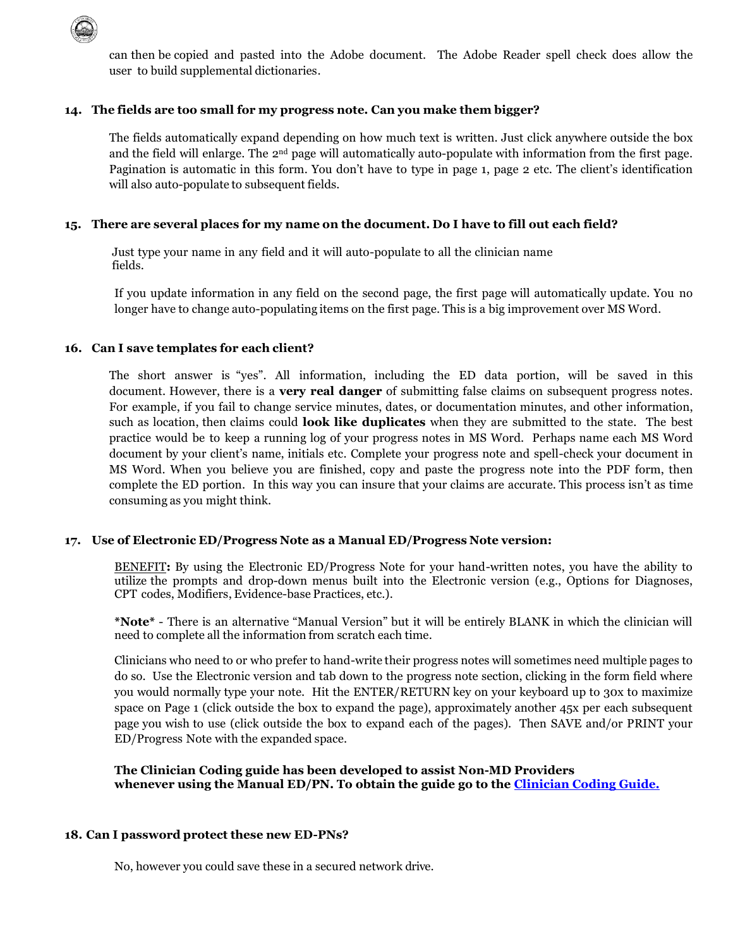

can then be copied and pasted into the Adobe document. The Adobe Reader spell check does allow the user to build supplemental dictionaries.

### **14. The fields are too small for my progress note. Can you make them bigger?**

The fields automatically expand depending on how much text is written. Just click anywhere outside the box and the field will enlarge. The 2nd page will automatically auto-populate with information from the first page. Pagination is automatic in this form. You don't have to type in page 1, page 2 etc. The client's identification will also auto-populate to subsequent fields.

## **15. There are several places for my name on the document. Do I have to fill out each field?**

Just type your name in any field and it will auto-populate to all the clinician name fields.

If you update information in any field on the second page, the first page will automatically update. You no longer have to change auto-populating items on the first page. This is a big improvement over MS Word.

## **16. Can I save templates for each client?**

The short answer is "yes". All information, including the ED data portion, will be saved in this document. However, there is a **very real danger** of submitting false claims on subsequent progress notes. For example, if you fail to change service minutes, dates, or documentation minutes, and other information, such as location, then claims could **look like duplicates** when they are submitted to the state. The best practice would be to keep a running log of your progress notes in MS Word. Perhaps name each MS Word document by your client's name, initials etc. Complete your progress note and spell-check your document in MS Word. When you believe you are finished, copy and paste the progress note into the PDF form, then complete the ED portion. In this way you can insure that your claims are accurate. This process isn't as time consuming as you might think.

## **17. Use of Electronic ED/Progress Note as a Manual ED/Progress Note version:**

BENEFIT**:** By using the Electronic ED/Progress Note for your hand-written notes, you have the ability to utilize the prompts and drop-down menus built into the Electronic version (e.g., Options for Diagnoses, CPT codes, Modifiers, Evidence-base Practices, etc.).

**\*Note\*** - There is an alternative "Manual Version" but it will be entirely BLANK in which the clinician will need to complete all the information from scratch each time.

Clinicians who need to or who prefer to hand-write their progress notes will sometimes need multiple pages to do so. Use the Electronic version and tab down to the progress note section, clicking in the form field where you would normally type your note. Hit the ENTER/RETURN key on your keyboard up to 30x to maximize space on Page 1 (click outside the box to expand the page), approximately another 45x per each subsequent page you wish to use (click outside the box to expand each of the pages). Then SAVE and/or PRINT your ED/Progress Note with the expanded space.

**The Clinician Coding guide has been developed to assist Non-MD Providers whenever using the Manual ED/PN. To obtain the guide go to the [Clinician Coding Guide.](/civicax/filebank/blobdload.aspx?BlobID=32558)**

### **18. Can I password protect these new ED-PNs?**

No, however you could save these in a secured network drive.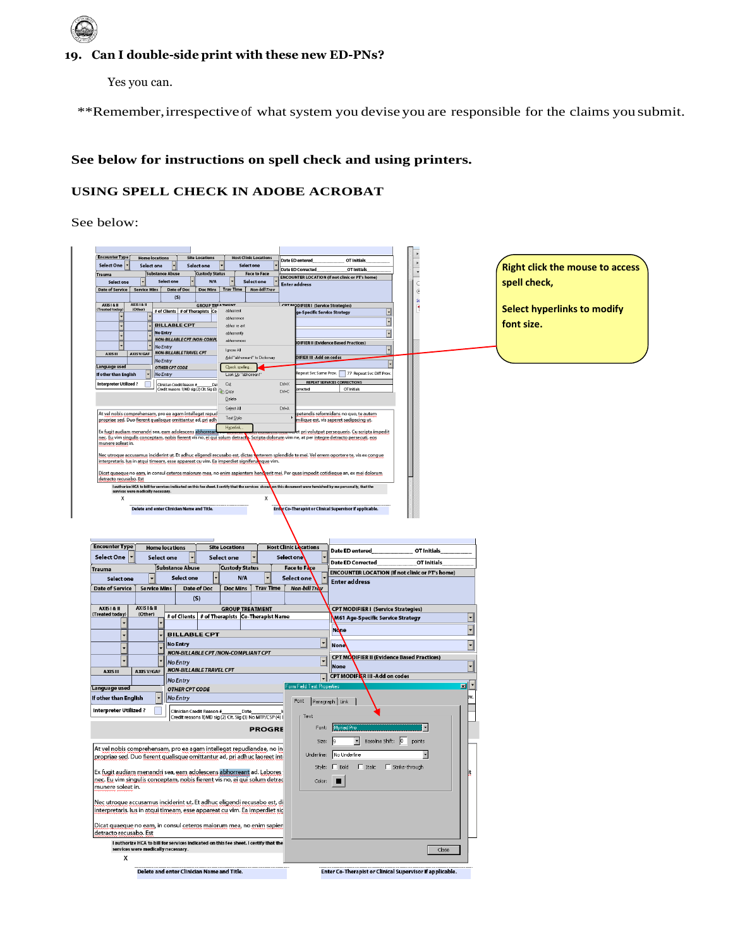# **19. Can I double-side print with these new ED-PNs?**

Yes you can.

\*\*Remember,irrespective of what system you devise you are responsible for the claims you submit.

## **See below for instructions on spell check and using printers.**

## **USING SPELL CHECK IN ADOBE ACROBAT**

See below:

| <b>Encounter Type</b><br><b>Home locations</b><br><b>Select One</b><br>Select one                                                                              | <b>Site Locations</b><br>Select one                                                                                                                            | <b>Host Clinic Locations</b><br><b>Select one</b> |                     | Date ED entered                           | OT Initials                                                                          |                          |   |                                        |
|----------------------------------------------------------------------------------------------------------------------------------------------------------------|----------------------------------------------------------------------------------------------------------------------------------------------------------------|---------------------------------------------------|---------------------|-------------------------------------------|--------------------------------------------------------------------------------------|--------------------------|---|----------------------------------------|
| <b>Trauma</b>                                                                                                                                                  | <b>Substance Abuse</b><br><b>Custody Status</b>                                                                                                                |                                                   | <b>Face to Face</b> | <b>Date ED Corrected</b>                  | OT Initials<br><b>ENCOUNTER LOCATION (If not clinic or PT's home)</b>                |                          |   | <b>Right click the mouse to access</b> |
| <b>Select one</b>                                                                                                                                              | <b>Select one</b><br>N/A                                                                                                                                       | Select one                                        |                     | <b>Enter address</b>                      |                                                                                      |                          |   | spell check,                           |
| Date of Service<br>Service Mins                                                                                                                                | Date of Doc<br>(S)                                                                                                                                             | Doc Mins   Trav Time   Non-bill Trav              |                     |                                           |                                                                                      |                          |   |                                        |
| AXIS I & II<br>AXIS I & II<br>Treated today)<br>(Other)                                                                                                        | <b>GROUP TREATMENT</b>                                                                                                                                         |                                                   |                     | <b>COTMODIFIER I (Service Strategies)</b> |                                                                                      |                          |   | <b>Select hyperlinks to modify</b>     |
|                                                                                                                                                                | # of Clients # of Therapists Co-                                                                                                                               | abhorren                                          |                     | e-Specific Service Strategy               | न                                                                                    |                          |   |                                        |
|                                                                                                                                                                | <b>BILLABLE CPT</b>                                                                                                                                            |                                                   |                     |                                           | F                                                                                    |                          |   | font size.                             |
|                                                                                                                                                                | <b>No Entry</b><br>NON-BILLABLE CPT /NON-COMPL                                                                                                                 | abhorrently<br>abhorrences                        |                     |                                           | $\overline{\phantom{0}}$                                                             |                          |   |                                        |
|                                                                                                                                                                | No Entry                                                                                                                                                       | Ignore All                                        |                     |                                           | DIFIER II (Evidence Based Practices)<br>$\overline{\phantom{0}}$                     |                          |   |                                        |
| AXIS III<br>AXIS V/GAF                                                                                                                                         | <b>NON-BILLABLE TRAVEL CPT</b><br>No Entry                                                                                                                     | Add "abhorreant" to Dictionary                    |                     | DIFIER III - Add on codes                 |                                                                                      |                          |   |                                        |
| Language used                                                                                                                                                  | <b>OTHER CPT CODE</b>                                                                                                                                          | Check speling                                     |                     |                                           |                                                                                      |                          |   |                                        |
| If other than English                                                                                                                                          | No Entry                                                                                                                                                       | Look Up "abhorreant"                              | $C$ tri+ $\times$   |                                           | lepeat Svc Same Prov. 77 Repeat Svc Diff Prov.<br><b>REPEAT SERVICES CORRECTIONS</b> |                          |   |                                        |
| <b>Interpreter Utilized?</b>                                                                                                                                   | Clinician Credit Reason # ________Da1 Uut<br>Credit reasons 1)MD sig (2) Clt. Sig (3) Copy                                                                     |                                                   | $C$ trl+ $C$        | rrected                                   | OT Initials                                                                          |                          |   |                                        |
|                                                                                                                                                                |                                                                                                                                                                | Delete                                            |                     |                                           |                                                                                      |                          |   |                                        |
| At vel nobis comprehensam, pro ea agam intellegat repud                                                                                                        |                                                                                                                                                                | Select All                                        | $C$ trl+A           |                                           | etendis reformidans no quo, te autem                                                 |                          |   |                                        |
| propriae sed. Duo fierent qualisque omittantur ad, pri adh                                                                                                     |                                                                                                                                                                | Text Style                                        |                     |                                           | milique est, vis saperet sadipscing ut.                                              |                          |   |                                        |
| Ex fugit audiam menandri sea, eam adolescens abhorr                                                                                                            |                                                                                                                                                                | <b>Hyperlink</b>                                  |                     |                                           | et pri volutpat persequeris. Cu scripta impedit                                      |                          |   |                                        |
| <u>nec. Eu vim singulis conceptam, nobis fierent vis no, ei qui solum detract</u><br>munere soleat in.                                                         |                                                                                                                                                                |                                                   |                     |                                           | Scripta dolorum vim ne, at per integre detracto persecuti, eos                       |                          |   |                                        |
| Nec utroque accusamus inciderint ut. Et adhuc eligendi recusabo est, dictas verterem splendide te mei. Vel errem oportere te, vis ex congue                    |                                                                                                                                                                |                                                   |                     |                                           |                                                                                      |                          |   |                                        |
| <u>interpretaris. Ius in atqui timeam, esse appareat cu vim. Ea imperdiet signiferuinque vim.</u>                                                              |                                                                                                                                                                |                                                   |                     |                                           |                                                                                      |                          |   |                                        |
| Dicat quaeque no eam, in consul ceteros maiorum mea, no enim sapientem hendrerit mei. Per quas impedit cotidieque an, ex mei dolorum<br>detracto recusabo. Est |                                                                                                                                                                |                                                   |                     |                                           |                                                                                      |                          |   |                                        |
|                                                                                                                                                                | I authorize HCA to bill for services indicated on this fee sheet. I certify that the services shows on this document were furnished by me personally, that the |                                                   |                     |                                           |                                                                                      |                          |   |                                        |
| services were m<br>cally necessa<br>x                                                                                                                          |                                                                                                                                                                |                                                   | x                   |                                           |                                                                                      |                          |   |                                        |
|                                                                                                                                                                | Delete and enter Clinician Name and Title.                                                                                                                     |                                                   |                     |                                           | Enter Co-Therapist or Clinical Supervisor if applicable.                             |                          |   |                                        |
|                                                                                                                                                                |                                                                                                                                                                |                                                   |                     |                                           |                                                                                      |                          |   |                                        |
|                                                                                                                                                                |                                                                                                                                                                |                                                   |                     |                                           |                                                                                      |                          |   |                                        |
|                                                                                                                                                                |                                                                                                                                                                |                                                   |                     |                                           |                                                                                      |                          |   |                                        |
| <b>Encounter Type</b>                                                                                                                                          | <b>Home locations</b>                                                                                                                                          | <b>Site Locations</b>                             |                     | <b>Host Clinic Locations</b>              | <b>Date ED entered</b>                                                               | OT Initials              |   |                                        |
|                                                                                                                                                                |                                                                                                                                                                |                                                   |                     |                                           |                                                                                      |                          |   |                                        |
| Select One                                                                                                                                                     | Select one                                                                                                                                                     | Select one                                        |                     | Select one                                |                                                                                      |                          |   |                                        |
| Trauma                                                                                                                                                         | <b>Substance Abuse</b>                                                                                                                                         | <b>Custody Status</b>                             |                     | Face to Face                              | Date ED Corrected<br><b>ENCOUNTER LOCATION (If not clinic or PT's home)</b>          | OT Initials              |   |                                        |
| Select one                                                                                                                                                     | <b>Select one</b>                                                                                                                                              | N/A                                               |                     | Select one                                | <b>Enter address</b>                                                                 |                          |   |                                        |
| <b>Date of Service</b><br><b>Service Mins</b>                                                                                                                  | Date of Doc                                                                                                                                                    | Doc Mins                                          | <b>Trav Time</b>    | <b>Non-bill Trav</b>                      |                                                                                      |                          |   |                                        |
|                                                                                                                                                                | (S)                                                                                                                                                            |                                                   |                     |                                           |                                                                                      |                          |   |                                        |
| AXIS I & II<br>AXIS I & II<br><b>Treated today</b><br>(Other)                                                                                                  |                                                                                                                                                                | <b>GROUP TREATMENT</b>                            |                     |                                           | <b>CPT MODIFIER I (Service Strategies)</b>                                           |                          |   |                                        |
|                                                                                                                                                                | # of Clients   # of Therapists   Co-Therapist Name                                                                                                             |                                                   |                     |                                           | M61 Age-Specific Service Strategy                                                    |                          | ŀ |                                        |
|                                                                                                                                                                | <b>BILLABLE CPT</b>                                                                                                                                            |                                                   |                     |                                           | None                                                                                 |                          |   |                                        |
|                                                                                                                                                                | <b>No Entry</b>                                                                                                                                                |                                                   |                     |                                           | <b>None</b>                                                                          |                          | ŀ |                                        |
|                                                                                                                                                                | NON-BILLABLE CPT /NON-COMPLIANT CPT                                                                                                                            |                                                   |                     |                                           | <b>CPT MODIFIER II (Evidence Based Practices)</b>                                    |                          |   |                                        |
|                                                                                                                                                                | <b>No Entry</b>                                                                                                                                                |                                                   |                     |                                           | None                                                                                 |                          | ŀ |                                        |
| AXIS III<br><b>AXIS V/GAF</b>                                                                                                                                  | <b>NON-BILLABLE TRAVEL CPT</b>                                                                                                                                 |                                                   |                     |                                           | CPT MODIFIER III - Add on codes                                                      |                          |   |                                        |
| anguage used.                                                                                                                                                  | <b>No Entry</b><br>OTHER CPT CODE                                                                                                                              |                                                   |                     | Form Field Text Pr                        |                                                                                      |                          | 团 |                                        |
| If other than English                                                                                                                                          | <b>No Entry</b>                                                                                                                                                |                                                   |                     | Font                                      | Paragraph   Link                                                                     |                          |   |                                        |
| Interpreter Utilized ?                                                                                                                                         | Clinician Credit Reason #                                                                                                                                      | Date                                              |                     |                                           |                                                                                      |                          |   |                                        |
|                                                                                                                                                                | Credit reasons 1) MD sig (2) Clt. Sig (3) No MTP/CSP (4) I                                                                                                     |                                                   |                     | Text                                      |                                                                                      |                          |   |                                        |
|                                                                                                                                                                |                                                                                                                                                                |                                                   | <b>PROGRE</b>       |                                           | Font: Myriad Pro                                                                     |                          |   |                                        |
|                                                                                                                                                                |                                                                                                                                                                |                                                   |                     | Size: 9                                   | $\overline{\phantom{a}}$                                                             | Baseline Shift: 0 points |   |                                        |
| At vel nobis comprehensam, pro ea agam intellegat repudiandae, no in                                                                                           |                                                                                                                                                                |                                                   |                     |                                           |                                                                                      |                          |   |                                        |
| propriae sed. Duo fierent qualisque omittantur ad, pri adhuc laoreet int                                                                                       |                                                                                                                                                                |                                                   |                     |                                           | Underline: No Underline                                                              |                          |   |                                        |
| Ex fugit audiam menandri sea, eam adolescens abhorreant ad. Labores                                                                                            |                                                                                                                                                                |                                                   |                     |                                           | Style: D Bold<br>F Italic F Strike-through                                           |                          |   |                                        |
| nec. Eu vim singulis conceptam, nobis fierent vis no, ei qui solum detrac                                                                                      |                                                                                                                                                                |                                                   |                     | Color:                                    |                                                                                      |                          |   |                                        |
| munere soleat in.                                                                                                                                              |                                                                                                                                                                |                                                   |                     |                                           |                                                                                      |                          |   |                                        |
| Nec utroque accusamus inciderint ut. Et adhuc eligendi recusabo est, di                                                                                        |                                                                                                                                                                |                                                   |                     |                                           |                                                                                      |                          |   |                                        |
| interpretaris. Jus in atqui timeam, esse appareat cu vim. Ea imperdiet sic                                                                                     |                                                                                                                                                                |                                                   |                     |                                           |                                                                                      |                          |   |                                        |
| Dicat quaeque no eam, in consul ceteros maiorum mea, no enim sapien                                                                                            |                                                                                                                                                                |                                                   |                     |                                           |                                                                                      |                          |   |                                        |
| detracto recusabo. Est                                                                                                                                         |                                                                                                                                                                |                                                   |                     |                                           |                                                                                      |                          |   |                                        |
| services were medically necessary.                                                                                                                             | I authorize HCA to bill for services indicated on this fee sheet. I certify that the                                                                           |                                                   |                     |                                           |                                                                                      | Close                    |   |                                        |
| х                                                                                                                                                              |                                                                                                                                                                |                                                   |                     |                                           |                                                                                      |                          |   |                                        |
|                                                                                                                                                                | Delete and enter Clinician Name and Title.                                                                                                                     |                                                   |                     |                                           | Enter Co-Therapist or Clinical Supervisor if applicable.                             |                          |   |                                        |